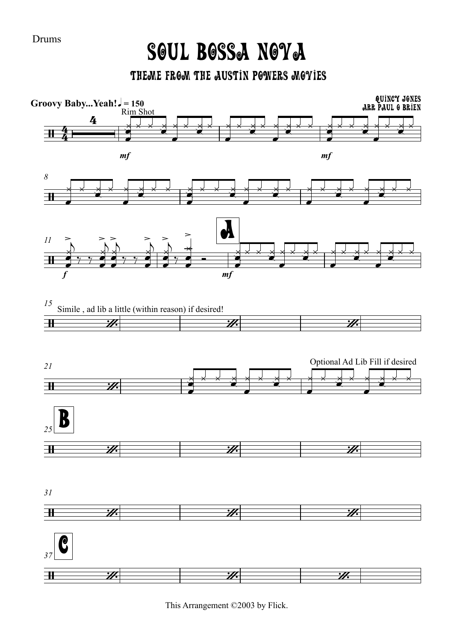**Drums** 

## SOUL BOSSA NOYA

THEME FROM THE AUSTIN POWERS MOYIES



This Arrangement ©2003 by Flick.